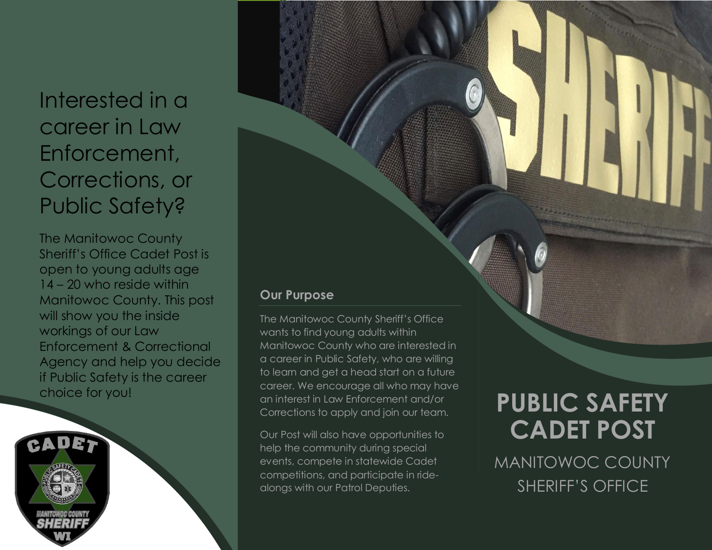## Interested in a career in Law Enforcement, Corrections, or Public Safety?

The Manitowoc County Sheriff's Office Cadet Post is open to young adults age 14 – 20 who reside within Manitowoc County. This post will show you the inside workings of our Law Enforcement & Correctional Agency and help you decide if Public Safety is the career choice for you!

#### **Our Purpose**

The Manitowoc County Sheriff's Office wants to find young adults within Manitowoc County who are interested in a career in Public Safety, who are willing to learn and get a head start on a future career. We encourage all who may have an interest in Law Enforcement and/or Corrections to apply and join our team.

Our Post will also have opportunities to help the community during special events, compete in statewide Cadet competitions, and participate in ridealongs with our Patrol Deputies.

# **PUBLIC SAFETY CADET POST**

MANITOWOC COUNTY SHERIFF'S OFFICE